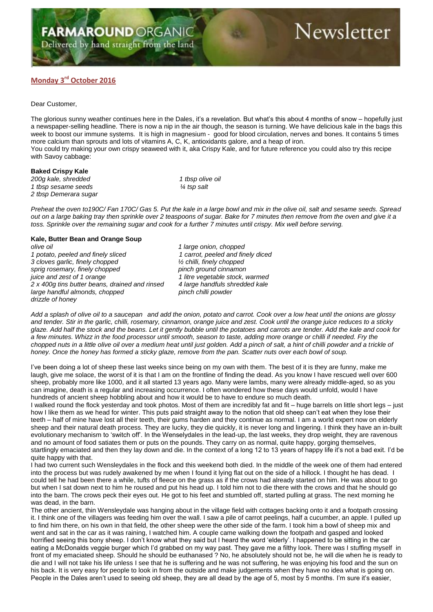## Delivered by hand straight from the land

# Newsletter

### **Monday 3 rd October 2016**

#### Dear Customer,

The glorious sunny weather continues here in the Dales, it's a revelation. But what's this about 4 months of snow – hopefully just a newspaper-selling headline. There is now a nip in the air though, the season is turning. We have delicious kale in the bags this week to boost our immune systems. It is high in magnesium - good for blood circulation, nerves and bones. It contains 5 times more calcium than sprouts and lots of vitamins A, C, K, antioxidants galore, and a heap of iron. You could try making your own crispy seaweed with it, aka Crispy Kale, and for future reference you could also try this recipe with Savoy cabbage:

#### **Baked Crispy Kale**

*200g kale, shredded 1 tbsp olive oil 1 tbsp sesame seeds ¼ tsp salt 2 tbsp Demerara sugar*

*Preheat the oven to190C/ Fan 170C/ Gas 5. Put the kale in a large bowl and mix in the olive oil, salt and sesame seeds. Spread out on a large baking tray then sprinkle over 2 teaspoons of sugar. Bake for 7 minutes then remove from the oven and give it a toss. Sprinkle over the remaining sugar and cook for a further 7 minutes until crispy. Mix well before serving.*

#### **Kale, Butter Bean and Orange Soup**

*olive oil 1 large onion, chopped 1 potato, peeled and finely sliced 1 carrot, peeled and finely diced 3 cloves garlic, finely chopped ½ chilli, finely chopped* sprig rosemary, finely chopped *juice and zest of 1 orange* 1 litre vegetable stock, warmed *2 x 400g tins butter beans, drained and rinsed 4 large handfuls shredded kale large handful almonds, chopped pinch chilli powder drizzle of honey*

*Add a splash of olive oil to a saucepan and add the onion, potato and carrot. Cook over a low heat until the onions are glossy and tender. Stir in the garlic, chilli, rosemary, cinnamon, orange juice and zest. Cook until the orange juice reduces to a sticky glaze. Add half the stock and the beans. Let it gently bubble until the potatoes and carrots are tender. Add the kale and cook for a few minutes. Whizz in the food processor until smooth, season to taste, adding more orange or chilli if needed. Fry the*  chopped nuts in a little olive oil over a medium heat until just golden. Add a pinch of salt, a hint of chilli powder and a trickle of *honey. Once the honey has formed a sticky glaze, remove from the pan. Scatter nuts over each bowl of soup.*

I've been doing a lot of sheep these last weeks since being on my own with them. The best of it is they are funny, make me laugh, give me solace, the worst of it is that I am on the frontline of finding the dead. As you know I have rescued well over 600 sheep, probably more like 1000, and it all started 13 years ago. Many were lambs, many were already middle-aged, so as you can imagine, death is a regular and increasing occurrence. I often wondered how these days would unfold, would I have hundreds of ancient sheep hobbling about and how it would be to have to endure so much death.

I walked round the flock yesterday and took photos. Most of them are incredibly fat and fit – huge barrels on little short legs – just how I like them as we head for winter. This puts paid straight away to the notion that old sheep can't eat when they lose their teeth – half of mine have lost all their teeth, their gums harden and they continue as normal. I am a world expert now on elderly sheep and their natural death process. They are lucky, they die quickly, it is never long and lingering. I think they have an in-built evolutionary mechanism to 'switch off'. In the Wenselydales in the lead-up, the last weeks, they drop weight, they are ravenous and no amount of food satiates them or puts on the pounds. They carry on as normal, quite happy, gorging themselves, startlingly emaciated and then they lay down and die. In the context of a long 12 to 13 years of happy life it's not a bad exit. I'd be quite happy with that.

I had two current such Wensleydales in the flock and this weekend both died. In the middle of the week one of them had entered into the process but was rudely awakened by me when I found it lying flat out on the side of a hillock. I thought he has dead. I could tell he had been there a while, tufts of fleece on the grass as if the crows had already started on him. He was about to go but when I sat down next to him he roused and put his head up. I told him not to die there with the crows and that he should go into the barn. The crows peck their eyes out. He got to his feet and stumbled off, started pulling at grass. The next morning he was dead, in the barn.

The other ancient, thin Wensleydale was hanging about in the village field with cottages backing onto it and a footpath crossing it. I think one of the villagers was feeding him over the wall. I saw a pile of carrot peelings, half a cucumber, an apple. I pulled up to find him there, on his own in that field, the other sheep were the other side of the farm. I took him a bowl of sheep mix and went and sat in the car as it was raining, I watched him. A couple came walking down the footpath and gasped and looked horrified seeing this bony sheep. I don't know what they said but I heard the word 'elderly'. I happened to be sitting in the car eating a McDonalds veggie burger which I'd grabbed on my way past. They gave me a filthy look. There was I stuffing myself in front of my emaciated sheep. Should he should be euthanased ? No, he absolutely should not be, he will die when he is ready to die and I will not take his life unless I see that he is suffering and he was not suffering, he was enjoying his food and the sun on his back. It is very easy for people to look in from the outside and make judgements when they have no idea what is going on. People in the Dales aren't used to seeing old sheep, they are all dead by the age of 5, most by 5 months. I'm sure it's easier,